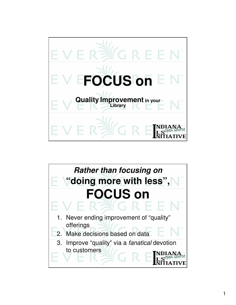

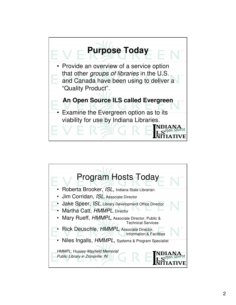

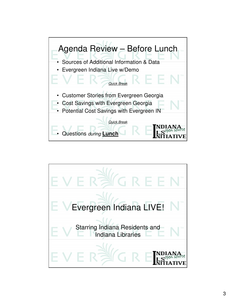

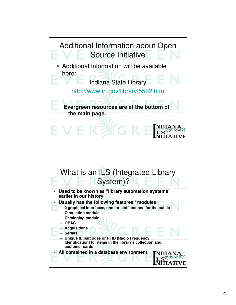

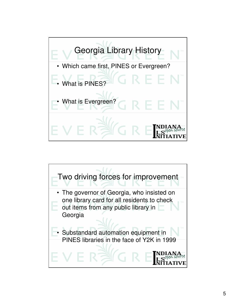

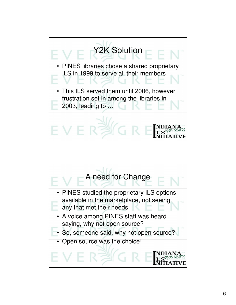

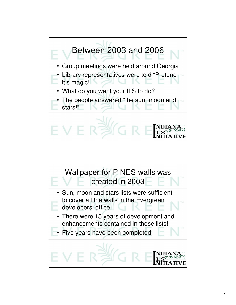

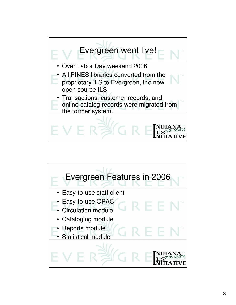

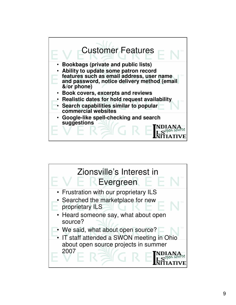

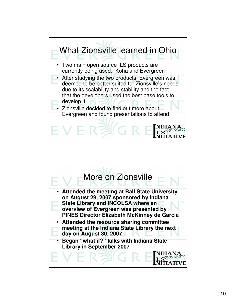

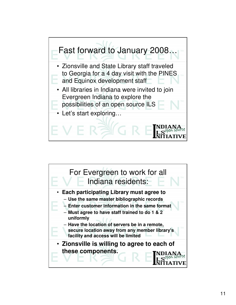

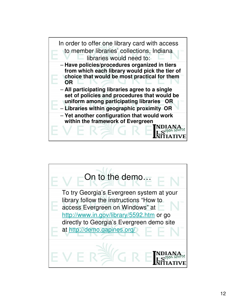

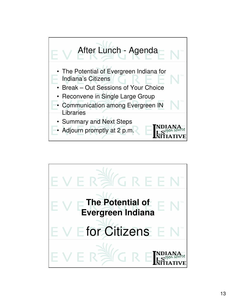

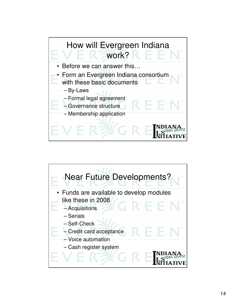

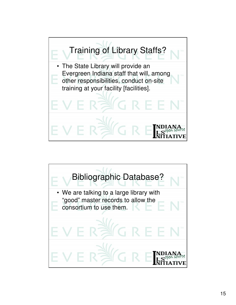

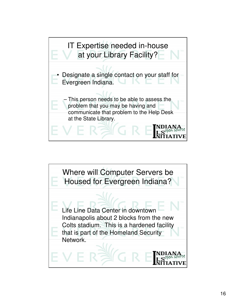

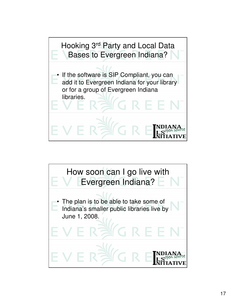

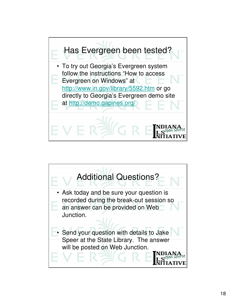

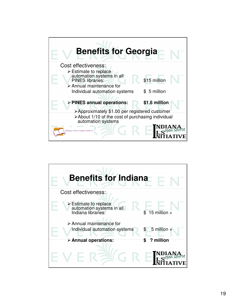